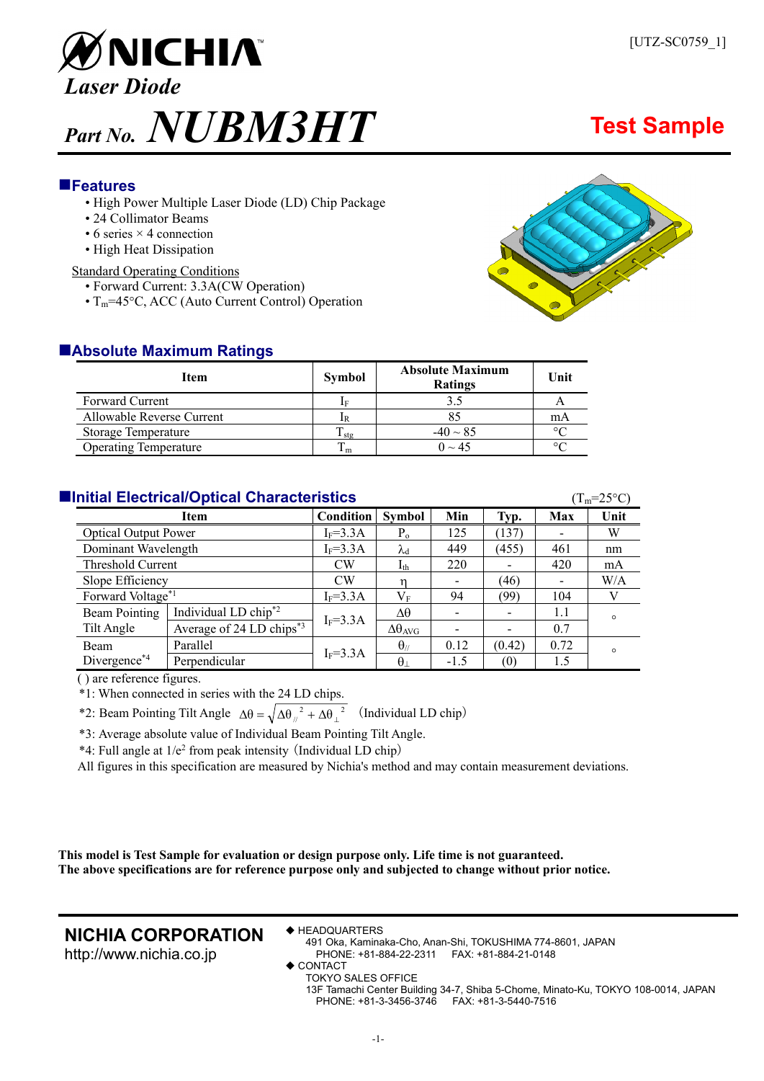

### **Features**

- High Power Multiple Laser Diode (LD) Chip Package
- 24 Collimator Beams
- $\bullet$  6 series  $\times$  4 connection
- High Heat Dissipation

#### Standard Operating Conditions

- Forward Current: 3.3A(CW Operation)
- $T_m$ =45°C, ACC (Auto Current Control) Operation



| <b>Item</b>                  | <b>Symbol</b> | <b>Absolute Maximum</b><br><b>Ratings</b> | Unit    |
|------------------------------|---------------|-------------------------------------------|---------|
| <b>Forward Current</b>       | ΙF            |                                           |         |
| Allowable Reverse Current    |               |                                           | mA      |
| <b>Storage Temperature</b>   | l stœ         | $-40 \sim 85$                             | $\circ$ |
| <b>Operating Temperature</b> | ⊥m            | $0 \sim 45$                               | $\circ$ |

### **Initial Electrical/Optical Characteristics Contracteristics** (T<sub>m</sub>=25°C)

| $\sim$ 111 $\sim$ $\sim$ $\sim$ 1 |                                      |              |                        |                          |                          |                          |         |
|-----------------------------------|--------------------------------------|--------------|------------------------|--------------------------|--------------------------|--------------------------|---------|
| Item                              |                                      | Condition    | <b>Symbol</b>          | Min                      | Typ.                     | <b>Max</b>               | Unit    |
| <b>Optical Output Power</b>       |                                      | $I_F = 3.3A$ | $P_{o}$                | 125                      | (137)                    |                          | W       |
| Dominant Wavelength               |                                      | $I_F = 3.3A$ | $\lambda_{\rm d}$      | 449                      | (455)                    | 461                      | nm      |
| Threshold Current                 |                                      | <b>CW</b>    | $I_{th}$               | 220                      |                          | 420                      | mA      |
| Slope Efficiency                  |                                      | CW           |                        | $\overline{\phantom{a}}$ | (46)                     | $\overline{\phantom{a}}$ | W/A     |
| Forward Voltage*1                 |                                      | $I_F = 3.3A$ | $\rm V_F$              | 94                       | (99)                     | 104                      |         |
| <b>Beam Pointing</b>              | Individual LD chip <sup>*2</sup>     | $I_F = 3.3A$ | Δθ                     | $\overline{\phantom{a}}$ | $\overline{\phantom{0}}$ | 1.1                      | $\circ$ |
| Tilt Angle                        | Average of 24 LD chips <sup>*3</sup> |              | $\Delta\theta_{AVG}$   | $\overline{\phantom{a}}$ | -                        | 0.7                      |         |
| <b>Beam</b>                       | Parallel                             | $I_F = 3.3A$ | $\theta$ <sub>//</sub> | 0.12                     | (0.42)                   | 0.72                     | $\circ$ |
| Divergence*4                      | Perpendicular                        |              | $\theta_{\perp}$       | $-1.5$                   | (0)                      | 1.5                      |         |

( ) are reference figures.

\*1: When connected in series with the 24 LD chips.

\*2: Beam Pointing Tilt Angle  $\Delta\theta = \sqrt{\Delta\theta_{\mu}^2 + \Delta\theta_{\mu}^2}$  (Individual LD chip)

\*3: Average absolute value of Individual Beam Pointing Tilt Angle.

 $*4$ : Full angle at  $1/e^2$  from peak intensity (Individual LD chip)

All figures in this specification are measured by Nichia's method and may contain measurement deviations.

**This model is Test Sample for evaluation or design purpose only. Life time is not guaranteed. The above specifications are for reference purpose only and subjected to change without prior notice.** 

## **NICHIA CORPORATION**

http://www.nichia.co.jp

#### **◆ HEADQUARTERS**

- 491 Oka, Kaminaka-Cho, Anan-Shi, TOKUSHIMA 774-8601, JAPAN PHONE: +81-884-22-2311 FAX: +81-884-21-0148
- ◆ CONTACT
	- TOKYO SALES OFFICE

13F Tamachi Center Building 34-7, Shiba 5-Chome, Minato-Ku, TOKYO 108-0014, JAPAN PHONE: +81-3-3456-3746 FAX: +81-3-5440-7516

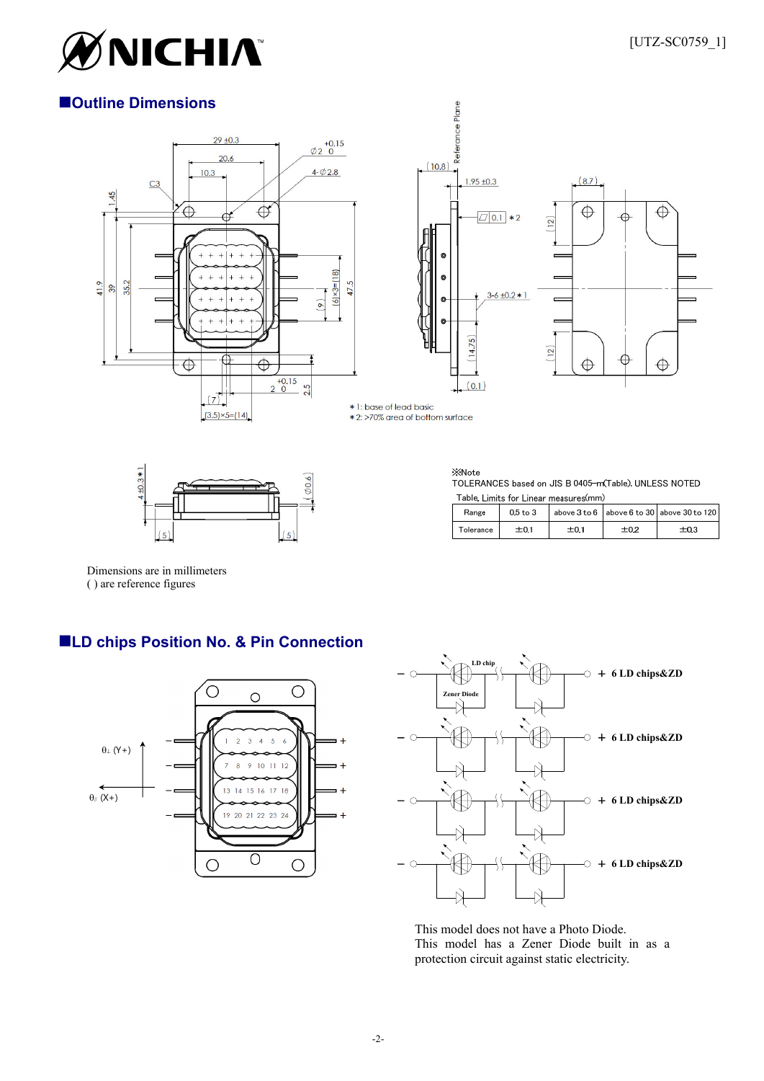

## **Outline Dimensions**





\* 1: base of lead basic \* 2: >70% area of bottom surface





**XNote** TOLERANCES based on JIS B 0405-m(Table), UNLESS NOTED Table, Limits for Linear measures(mm)

| Range     | $0.5$ to $3$ |      |      | above $3$ to $6 \mid$ above $6$ to $30 \mid$ above $30$ to $120 \mid$ |  |  |  |
|-----------|--------------|------|------|-----------------------------------------------------------------------|--|--|--|
| Tolerance | ±0.1         | ±0.1 | ±0.2 | ±0.3                                                                  |  |  |  |

Dimensions are in millimeters ( ) are reference figures

# **LD chips Position No. & Pin Connection**





This model does not have a Photo Diode. This model has a Zener Diode built in as a protection circuit against static electricity.